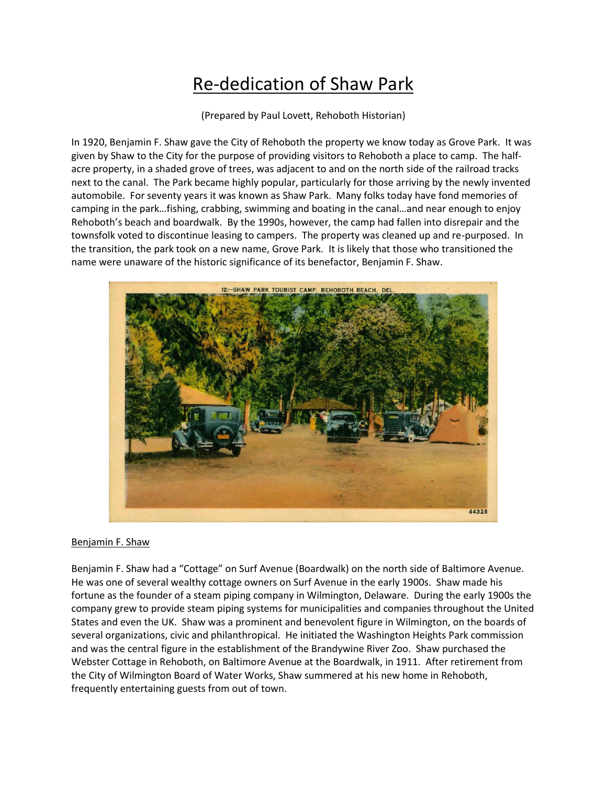## Re-dedication of Shaw Park

(Prepared by Paul Lovett, Rehoboth Historian)

In 1920, Benjamin F. Shaw gave the City of Rehoboth the property we know today as Grove Park. It was given by Shaw to the City for the purpose of providing visitors to Rehoboth a place to camp. The halfacre property, in a shaded grove of trees, was adjacent to and on the north side of the railroad tracks next to the canal. The Park became highly popular, particularly for those arriving by the newly invented automobile. For seventy years it was known as Shaw Park. Many folks today have fond memories of camping in the park…fishing, crabbing, swimming and boating in the canal…and near enough to enjoy Rehoboth's beach and boardwalk. By the 1990s, however, the camp had fallen into disrepair and the townsfolk voted to discontinue leasing to campers. The property was cleaned up and re-purposed. In the transition, the park took on a new name, Grove Park. It is likely that those who transitioned the name were unaware of the historic significance of its benefactor, Benjamin F. Shaw.



## Benjamin F. Shaw

Benjamin F. Shaw had a "Cottage" on Surf Avenue (Boardwalk) on the north side of Baltimore Avenue. He was one of several wealthy cottage owners on Surf Avenue in the early 1900s. Shaw made his fortune as the founder of a steam piping company in Wilmington, Delaware. During the early 1900s the company grew to provide steam piping systems for municipalities and companies throughout the United States and even the UK. Shaw was a prominent and benevolent figure in Wilmington, on the boards of several organizations, civic and philanthropical. He initiated the Washington Heights Park commission and was the central figure in the establishment of the Brandywine River Zoo. Shaw purchased the Webster Cottage in Rehoboth, on Baltimore Avenue at the Boardwalk, in 1911. After retirement from the City of Wilmington Board of Water Works, Shaw summered at his new home in Rehoboth, frequently entertaining guests from out of town.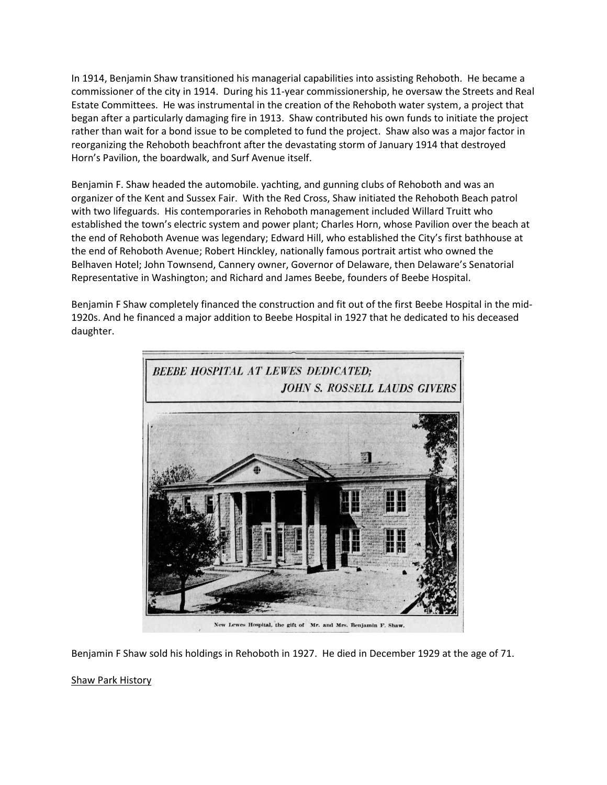In 1914, Benjamin Shaw transitioned his managerial capabilities into assisting Rehoboth. He became a commissioner of the city in 1914. During his 11-year commissionership, he oversaw the Streets and Real Estate Committees. He was instrumental in the creation of the Rehoboth water system, a project that began after a particularly damaging fire in 1913. Shaw contributed his own funds to initiate the project rather than wait for a bond issue to be completed to fund the project. Shaw also was a major factor in reorganizing the Rehoboth beachfront after the devastating storm of January 1914 that destroyed Horn's Pavilion, the boardwalk, and Surf Avenue itself.

Benjamin F. Shaw headed the automobile. yachting, and gunning clubs of Rehoboth and was an organizer of the Kent and Sussex Fair. With the Red Cross, Shaw initiated the Rehoboth Beach patrol with two lifeguards. His contemporaries in Rehoboth management included Willard Truitt who established the town's electric system and power plant; Charles Horn, whose Pavilion over the beach at the end of Rehoboth Avenue was legendary; Edward Hill, who established the City's first bathhouse at the end of Rehoboth Avenue; Robert Hinckley, nationally famous portrait artist who owned the Belhaven Hotel; John Townsend, Cannery owner, Governor of Delaware, then Delaware's Senatorial Representative in Washington; and Richard and James Beebe, founders of Beebe Hospital.

Benjamin F Shaw completely financed the construction and fit out of the first Beebe Hospital in the mid-1920s. And he financed a major addition to Beebe Hospital in 1927 that he dedicated to his deceased daughter.



Benjamin F Shaw sold his holdings in Rehoboth in 1927. He died in December 1929 at the age of 71.

## Shaw Park History